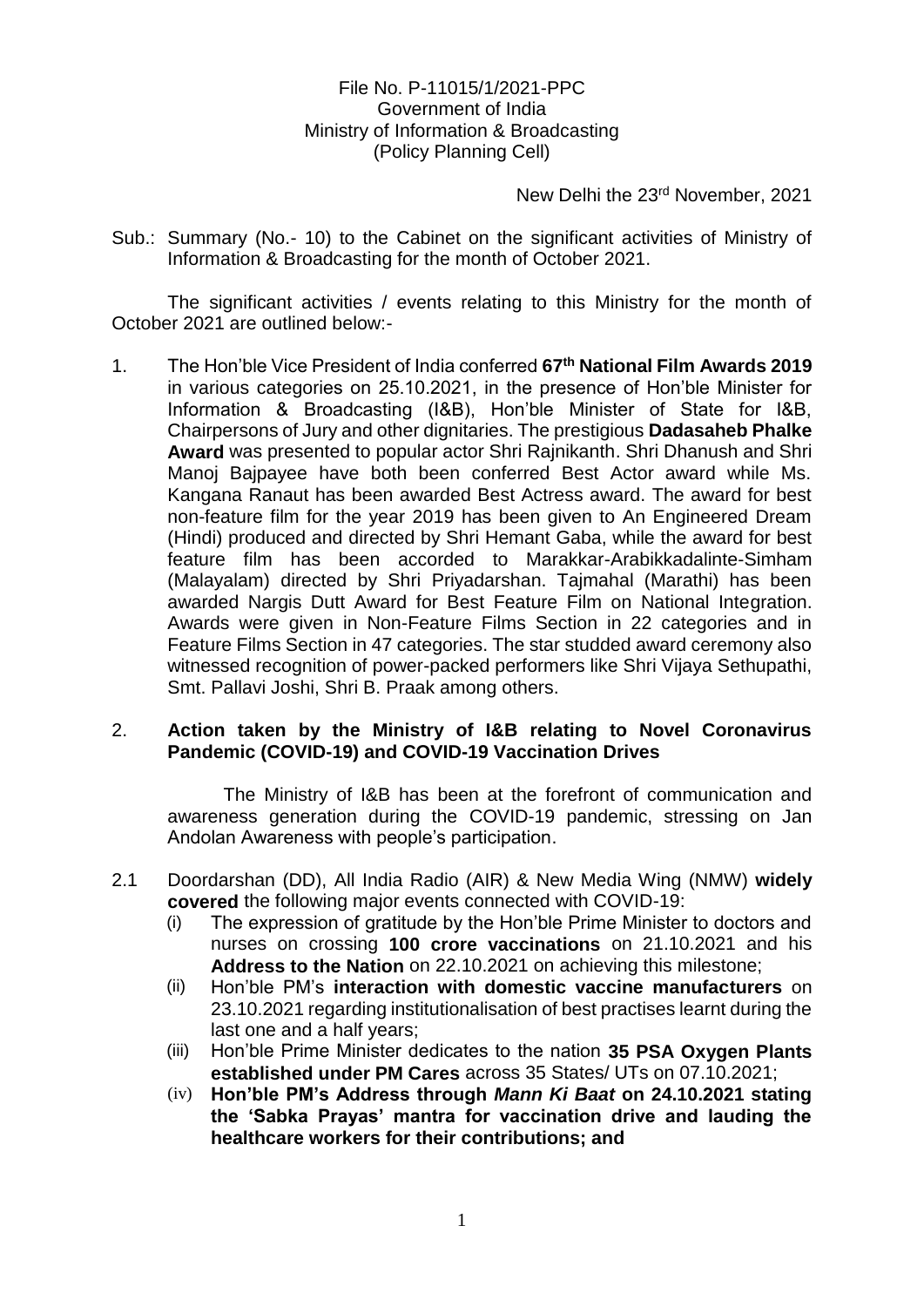## File No. P-11015/1/2021-PPC Government of India Ministry of Information & Broadcasting (Policy Planning Cell)

New Delhi the 23rd November, 2021

Sub.: Summary (No.- 10) to the Cabinet on the significant activities of Ministry of Information & Broadcasting for the month of October 2021.

The significant activities / events relating to this Ministry for the month of October 2021 are outlined below:-

1. The Hon'ble Vice President of India conferred **67th National Film Awards 2019**  in various categories on 25.10.2021, in the presence of Hon'ble Minister for Information & Broadcasting (I&B), Hon'ble Minister of State for I&B, Chairpersons of Jury and other dignitaries. The prestigious **Dadasaheb Phalke Award** was presented to popular actor Shri Rajnikanth. Shri Dhanush and Shri Manoj Bajpayee have both been conferred Best Actor award while Ms. Kangana Ranaut has been awarded Best Actress award. The award for best non-feature film for the year 2019 has been given to An Engineered Dream (Hindi) produced and directed by Shri Hemant Gaba, while the award for best feature film has been accorded to Marakkar-Arabikkadalinte-Simham (Malayalam) directed by Shri Priyadarshan. Tajmahal (Marathi) has been awarded Nargis Dutt Award for Best Feature Film on National Integration. Awards were given in Non-Feature Films Section in 22 categories and in Feature Films Section in 47 categories. The star studded award ceremony also witnessed recognition of power-packed performers like Shri Vijaya Sethupathi, Smt. Pallavi Joshi, Shri B. Praak among others.

## 2. **Action taken by the Ministry of I&B relating to Novel Coronavirus Pandemic (COVID-19) and COVID-19 Vaccination Drives**

The Ministry of I&B has been at the forefront of communication and awareness generation during the COVID-19 pandemic, stressing on Jan Andolan Awareness with people's participation.

- 2.1 Doordarshan (DD), All India Radio (AIR) & New Media Wing (NMW) **widely covered** the following major events connected with COVID-19:
	- (i) The expression of gratitude by the Hon'ble Prime Minister to doctors and nurses on crossing **100 crore vaccinations** on 21.10.2021 and his **Address to the Nation** on 22.10.2021 on achieving this milestone;
	- (ii) Hon'ble PM's **interaction with domestic vaccine manufacturers** on 23.10.2021 regarding institutionalisation of best practises learnt during the last one and a half years;
	- (iii) Hon'ble Prime Minister dedicates to the nation **35 PSA Oxygen Plants established under PM Cares** across 35 States/ UTs on 07.10.2021;
	- (iv) **Hon'ble PM's Address through** *Mann Ki Baat* **on 24.10.2021 stating the 'Sabka Prayas' mantra for vaccination drive and lauding the healthcare workers for their contributions; and**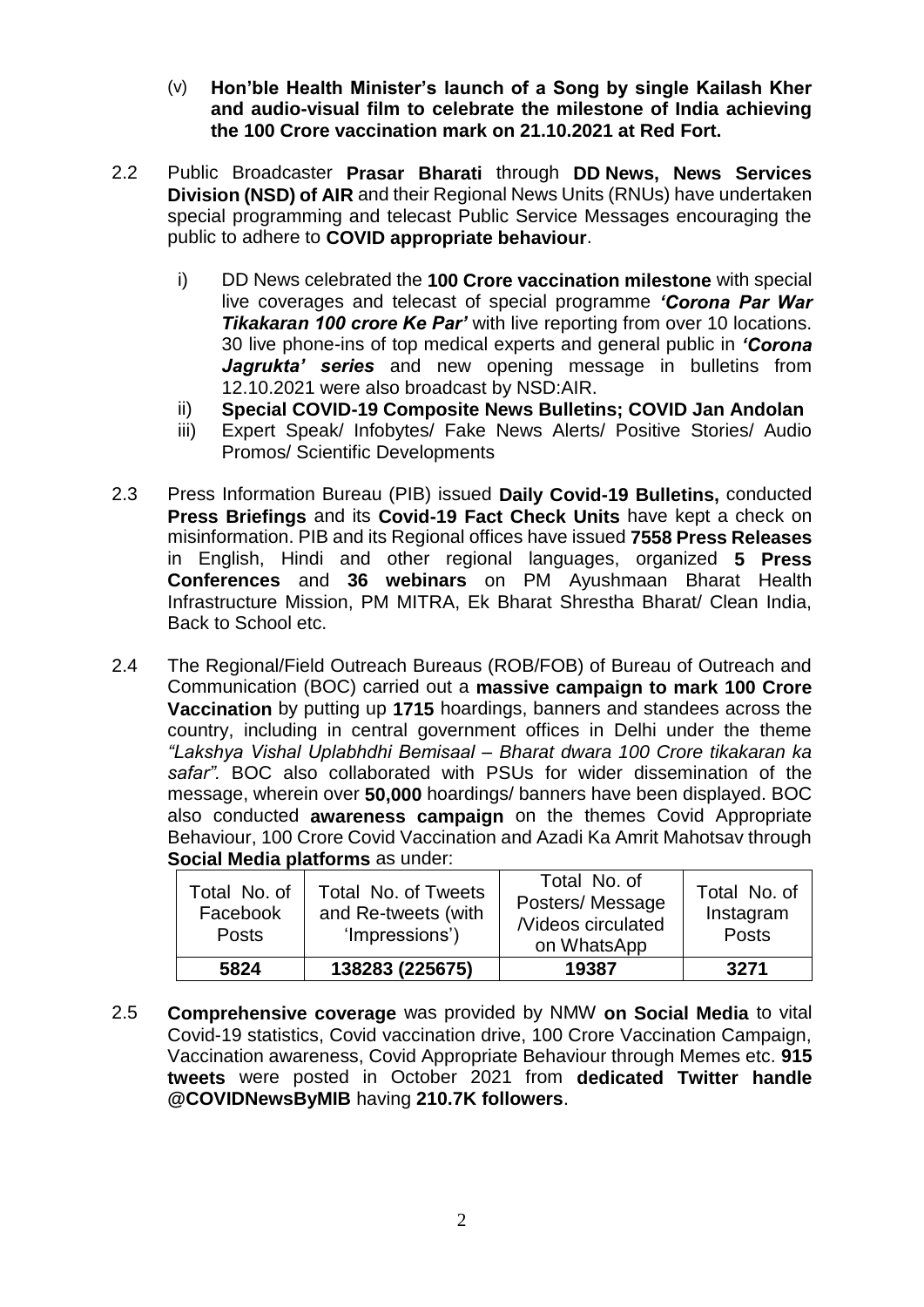- (v) **Hon'ble Health Minister's launch of a Song by single Kailash Kher and audio-visual film to celebrate the milestone of India achieving the 100 Crore vaccination mark on 21.10.2021 at Red Fort.**
- 2.2 Public Broadcaster **Prasar Bharati** through **DD News, News Services Division (NSD) of AIR** and their Regional News Units (RNUs) have undertaken special programming and telecast Public Service Messages encouraging the public to adhere to **COVID appropriate behaviour**.
	- i) DD News celebrated the **100 Crore vaccination milestone** with special live coverages and telecast of special programme *'Corona Par War Tikakaran 100 crore Ke Par'* with live reporting from over 10 locations. 30 live phone-ins of top medical experts and general public in *'Corona Jagrukta' series* and new opening message in bulletins from 12.10.2021 were also broadcast by NSD:AIR.
	- ii) **Special COVID-19 Composite News Bulletins; COVID Jan Andolan**
	- iii) Expert Speak/ Infobytes/ Fake News Alerts/ Positive Stories/ Audio Promos/ Scientific Developments
- 2.3 Press Information Bureau (PIB) issued **Daily Covid-19 Bulletins,** conducted **Press Briefings** and its **Covid-19 Fact Check Units** have kept a check on misinformation. PIB and its Regional offices have issued **7558 Press Releases** in English, Hindi and other regional languages, organized **5 Press Conferences** and **36 webinars** on PM Ayushmaan Bharat Health Infrastructure Mission, PM MITRA, Ek Bharat Shrestha Bharat/ Clean India, Back to School etc.
- 2.4 The Regional/Field Outreach Bureaus (ROB/FOB) of Bureau of Outreach and Communication (BOC) carried out a **massive campaign to mark 100 Crore Vaccination** by putting up **1715** hoardings, banners and standees across the country, including in central government offices in Delhi under the theme *"Lakshya Vishal Uplabhdhi Bemisaal – Bharat dwara 100 Crore tikakaran ka safar".* BOC also collaborated with PSUs for wider dissemination of the message, wherein over **50,000** hoardings/ banners have been displayed. BOC also conducted **awareness campaign** on the themes Covid Appropriate Behaviour, 100 Crore Covid Vaccination and Azadi Ka Amrit Mahotsav through **Social Media platforms** as under:

| Total No. of<br>Facebook<br><b>Posts</b> | Total No. of Tweets<br>and Re-tweets (with<br>'Impressions') | Total No. of<br>Posters/Message<br><b>Nideos circulated</b><br>on WhatsApp | Total No. of<br>Instagram<br><b>Posts</b> |
|------------------------------------------|--------------------------------------------------------------|----------------------------------------------------------------------------|-------------------------------------------|
| 5824                                     | 138283 (225675)                                              | 19387                                                                      | 3271                                      |

2.5 **Comprehensive coverage** was provided by NMW **on Social Media** to vital Covid-19 statistics, Covid vaccination drive, 100 Crore Vaccination Campaign, Vaccination awareness, Covid Appropriate Behaviour through Memes etc. **915 tweets** were posted in October 2021 from **dedicated Twitter handle @COVIDNewsByMIB** having **210.7K followers**.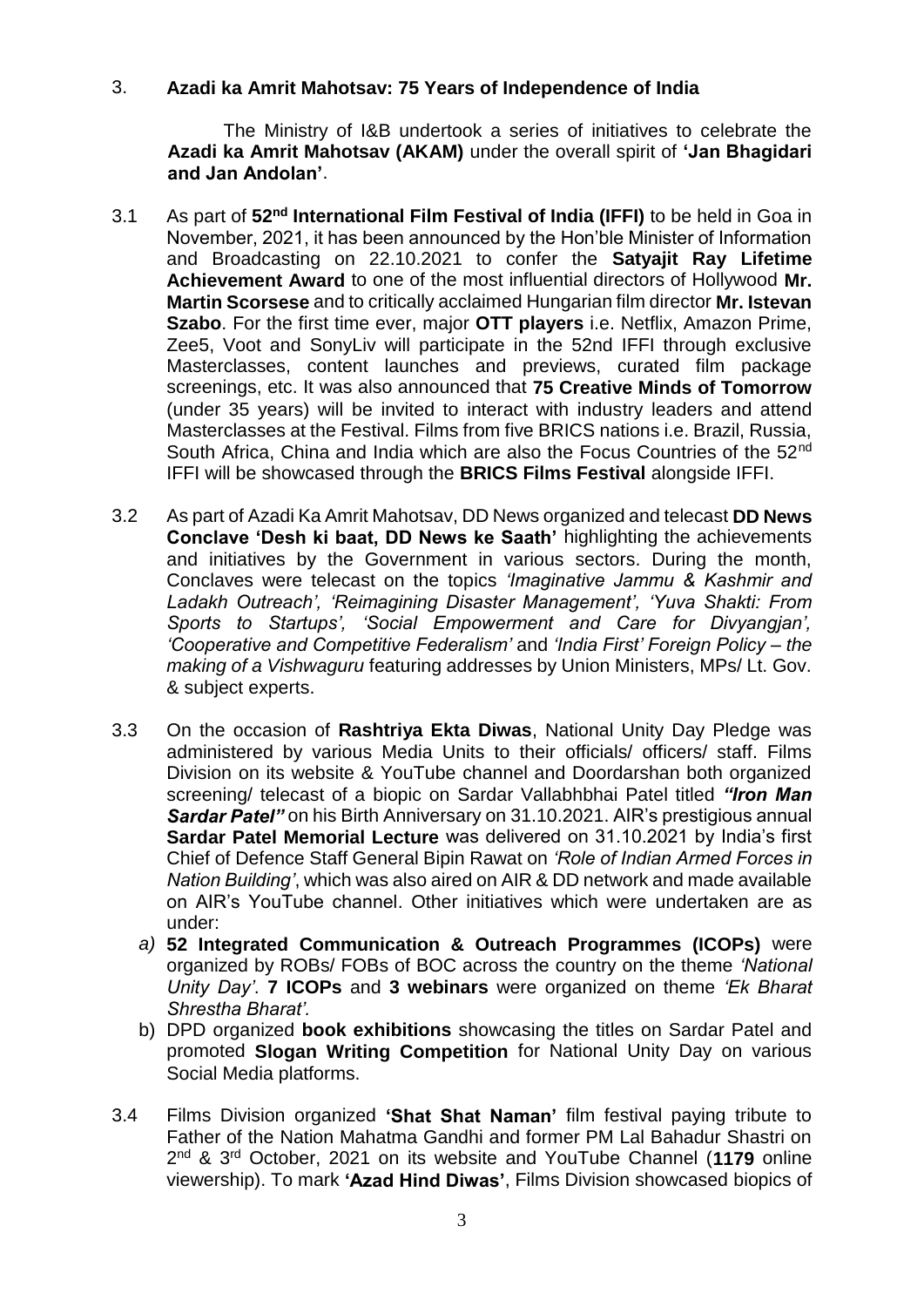## 3. **Azadi ka Amrit Mahotsav: 75 Years of Independence of India**

The Ministry of I&B undertook a series of initiatives to celebrate the **Azadi ka Amrit Mahotsav (AKAM)** under the overall spirit of **'Jan Bhagidari and Jan Andolan'**.

- 3.1 As part of **52nd International Film Festival of India (IFFI)** to be held in Goa in November, 2021, it has been announced by the Hon'ble Minister of Information and Broadcasting on 22.10.2021 to confer the **Satyajit Ray Lifetime Achievement Award** to one of the most influential directors of Hollywood **Mr. Martin Scorsese** and to critically acclaimed Hungarian film director **Mr. Istevan Szabo**. For the first time ever, major **OTT players** i.e. Netflix, Amazon Prime, Zee5, Voot and SonyLiv will participate in the 52nd IFFI through exclusive Masterclasses, content launches and previews, curated film package screenings, etc. It was also announced that **75 Creative Minds of Tomorrow** (under 35 years) will be invited to interact with industry leaders and attend Masterclasses at the Festival. Films from five BRICS nations i.e. Brazil, Russia, South Africa, China and India which are also the Focus Countries of the 52<sup>nd</sup> IFFI will be showcased through the **BRICS Films Festival** alongside IFFI.
- 3.2 As part of Azadi Ka Amrit Mahotsav, DD News organized and telecast **DD News Conclave 'Desh ki baat, DD News ke Saath'** highlighting the achievements and initiatives by the Government in various sectors. During the month, Conclaves were telecast on the topics *'Imaginative Jammu & Kashmir and Ladakh Outreach', 'Reimagining Disaster Management', 'Yuva Shakti: From Sports to Startups', 'Social Empowerment and Care for Divyangjan', 'Cooperative and Competitive Federalism'* and *'India First' Foreign Policy – the making of a Vishwaguru* featuring addresses by Union Ministers, MPs/ Lt. Gov. & subject experts.
- 3.3 On the occasion of **Rashtriya Ekta Diwas**, National Unity Day Pledge was administered by various Media Units to their officials/ officers/ staff. Films Division on its website & YouTube channel and Doordarshan both organized screening/ telecast of a biopic on Sardar Vallabhbhai Patel titled *"Iron Man Sardar Patel"* on his Birth Anniversary on 31.10.2021. AIR's prestigious annual **Sardar Patel Memorial Lecture** was delivered on 31.10.2021 by India's first Chief of Defence Staff General Bipin Rawat on *'Role of Indian Armed Forces in Nation Building'*, which was also aired on AIR & DD network and made available on AIR's YouTube channel. Other initiatives which were undertaken are as under:
	- *a)* **52 Integrated Communication & Outreach Programmes (ICOPs)** were organized by ROBs/ FOBs of BOC across the country on the theme *'National Unity Day'*. **7 ICOPs** and **3 webinars** were organized on theme *'Ek Bharat Shrestha Bharat'.*
	- b) DPD organized **book exhibitions** showcasing the titles on Sardar Patel and promoted **Slogan Writing Competition** for National Unity Day on various Social Media platforms.
- 3.4 Films Division organized **'Shat Shat Naman'** film festival paying tribute to Father of the Nation Mahatma Gandhi and former PM Lal Bahadur Shastri on 2 nd & 3rd October, 2021 on its website and YouTube Channel (**1179** online viewership). To mark **'Azad Hind Diwas'**, Films Division showcased biopics of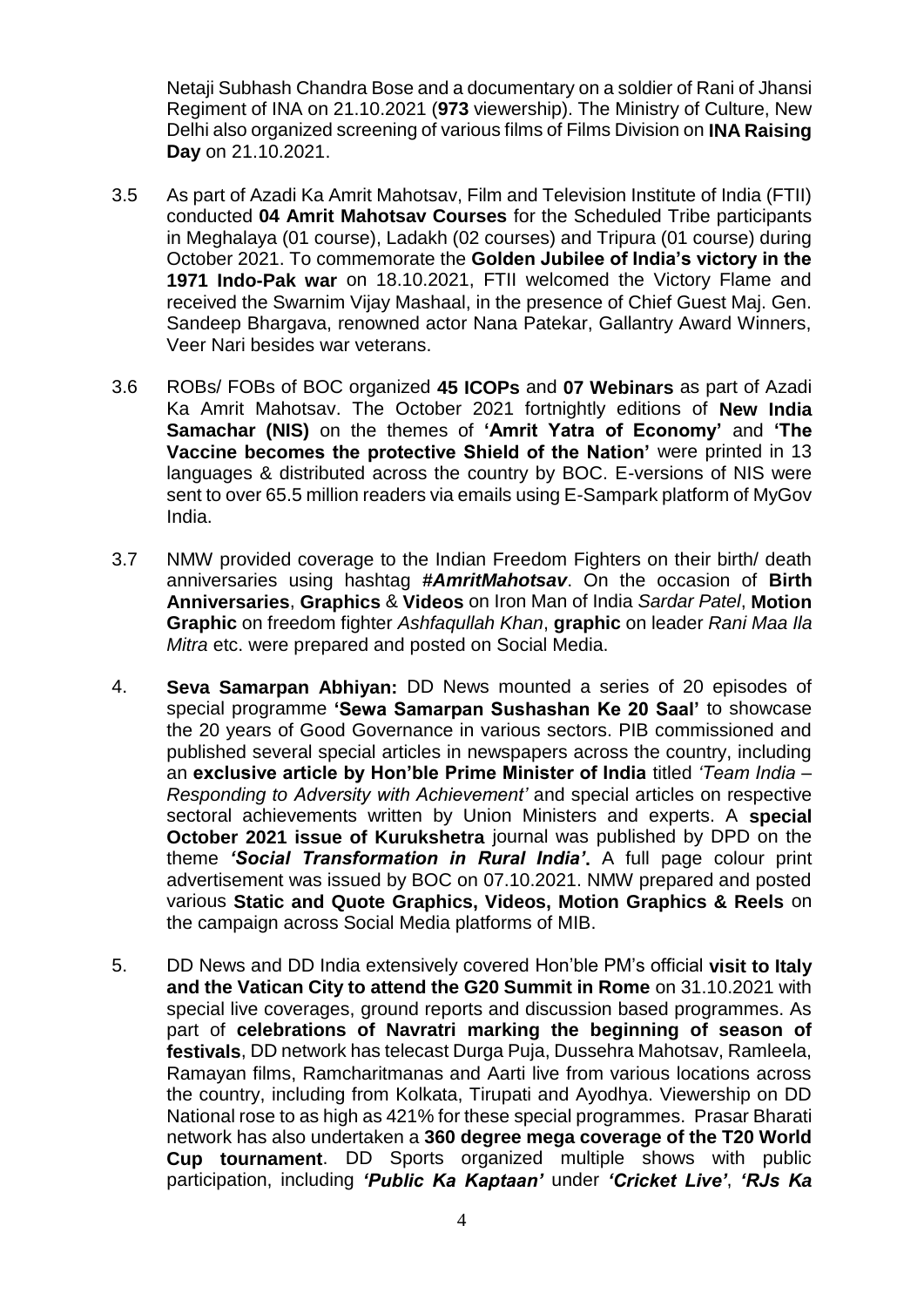Netaji Subhash Chandra Bose and a documentary on a soldier of Rani of Jhansi Regiment of INA on 21.10.2021 (**973** viewership). The Ministry of Culture, New Delhi also organized screening of various films of Films Division on **INA Raising Day** on 21.10.2021.

- 3.5 As part of Azadi Ka Amrit Mahotsav, Film and Television Institute of India (FTII) conducted **04 Amrit Mahotsav Courses** for the Scheduled Tribe participants in Meghalaya (01 course), Ladakh (02 courses) and Tripura (01 course) during October 2021. To commemorate the **Golden Jubilee of India's victory in the 1971 Indo-Pak war** on 18.10.2021, FTII welcomed the Victory Flame and received the Swarnim Vijay Mashaal, in the presence of Chief Guest Maj. Gen. Sandeep Bhargava, renowned actor Nana Patekar, Gallantry Award Winners, Veer Nari besides war veterans.
- 3.6 ROBs/ FOBs of BOC organized **45 ICOPs** and **07 Webinars** as part of Azadi Ka Amrit Mahotsav. The October 2021 fortnightly editions of **New India Samachar (NIS)** on the themes of **'Amrit Yatra of Economy'** and **'The Vaccine becomes the protective Shield of the Nation'** were printed in 13 languages & distributed across the country by BOC. E-versions of NIS were sent to over 65.5 million readers via emails using E-Sampark platform of MyGov India.
- 3.7 NMW provided coverage to the Indian Freedom Fighters on their birth/ death anniversaries using hashtag *#AmritMahotsav*. On the occasion of **Birth Anniversaries**, **Graphics** & **Videos** on Iron Man of India *Sardar Patel*, **Motion Graphic** on freedom fighter *Ashfaqullah Khan*, **graphic** on leader *Rani Maa Ila Mitra* etc. were prepared and posted on Social Media.
- 4. **Seva Samarpan Abhiyan:** DD News mounted a series of 20 episodes of special programme **'Sewa Samarpan Sushashan Ke 20 Saal'** to showcase the 20 years of Good Governance in various sectors. PIB commissioned and published several special articles in newspapers across the country, including an **exclusive article by Hon'ble Prime Minister of India** titled *'Team India – Responding to Adversity with Achievement'* and special articles on respective sectoral achievements written by Union Ministers and experts. A **special October 2021 issue of Kurukshetra** journal was published by DPD on the theme *'Social Transformation in Rural India'***.** A full page colour print advertisement was issued by BOC on 07.10.2021. NMW prepared and posted various **Static and Quote Graphics, Videos, Motion Graphics & Reels** on the campaign across Social Media platforms of MIB.
- 5. DD News and DD India extensively covered Hon'ble PM's official **visit to Italy and the Vatican City to attend the G20 Summit in Rome** on 31.10.2021 with special live coverages, ground reports and discussion based programmes. As part of **celebrations of Navratri marking the beginning of season of festivals**, DD network has telecast Durga Puja, Dussehra Mahotsav, Ramleela, Ramayan films, Ramcharitmanas and Aarti live from various locations across the country, including from Kolkata, Tirupati and Ayodhya. Viewership on DD National rose to as high as 421% for these special programmes. Prasar Bharati network has also undertaken a **360 degree mega coverage of the T20 World Cup tournament**. DD Sports organized multiple shows with public participation, including *'Public Ka Kaptaan'* under *'Cricket Live'*, *'RJs Ka*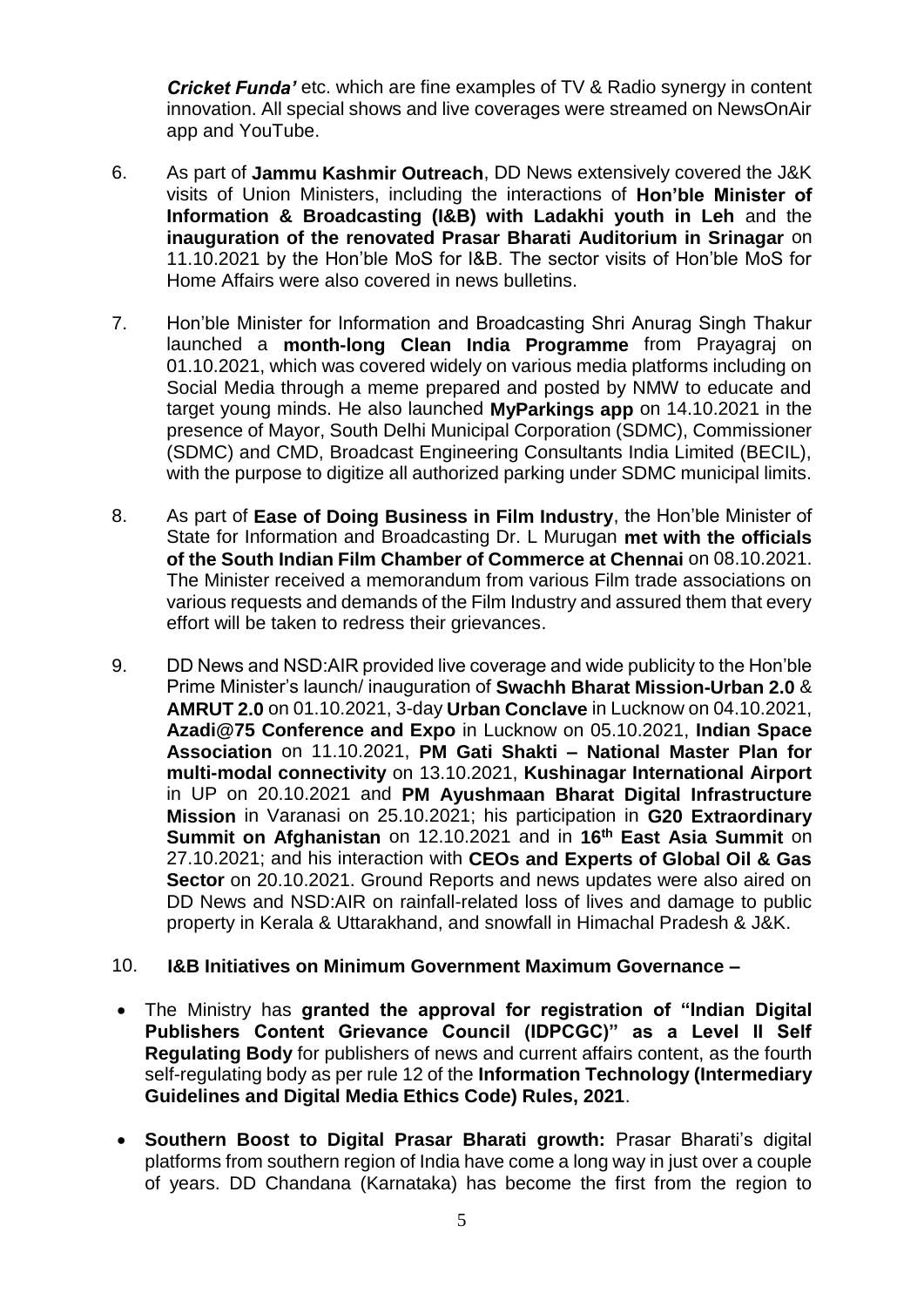*Cricket Funda'* etc. which are fine examples of TV & Radio synergy in content innovation. All special shows and live coverages were streamed on NewsOnAir app and YouTube.

- 6. As part of **Jammu Kashmir Outreach**, DD News extensively covered the J&K visits of Union Ministers, including the interactions of **Hon'ble Minister of Information & Broadcasting (I&B) with Ladakhi youth in Leh** and the **inauguration of the renovated Prasar Bharati Auditorium in Srinagar** on 11.10.2021 by the Hon'ble MoS for I&B. The sector visits of Hon'ble MoS for Home Affairs were also covered in news bulletins.
- 7. Hon'ble Minister for Information and Broadcasting Shri Anurag Singh Thakur launched a **month-long Clean India Programme** from Prayagraj on 01.10.2021, which was covered widely on various media platforms including on Social Media through a meme prepared and posted by NMW to educate and target young minds. He also launched **MyParkings app** on 14.10.2021 in the presence of Mayor, South Delhi Municipal Corporation (SDMC), Commissioner (SDMC) and CMD, Broadcast Engineering Consultants India Limited (BECIL), with the purpose to digitize all authorized parking under SDMC municipal limits.
- 8. As part of **Ease of Doing Business in Film Industry**, the Hon'ble Minister of State for Information and Broadcasting Dr. L Murugan **met with the officials of the South Indian Film Chamber of Commerce at Chennai** on 08.10.2021. The Minister received a memorandum from various Film trade associations on various requests and demands of the Film Industry and assured them that every effort will be taken to redress their grievances.
- 9. DD News and NSD:AIR provided live coverage and wide publicity to the Hon'ble Prime Minister's launch/ inauguration of **Swachh Bharat Mission-Urban 2.0** & **AMRUT 2.0** on 01.10.2021, 3-day **Urban Conclave** in Lucknow on 04.10.2021, **Azadi@75 Conference and Expo** in Lucknow on 05.10.2021, **Indian Space Association** on 11.10.2021, **PM Gati Shakti – National Master Plan for multi-modal connectivity** on 13.10.2021, **Kushinagar International Airport** in UP on 20.10.2021 and **PM Ayushmaan Bharat Digital Infrastructure Mission** in Varanasi on 25.10.2021; his participation in **G20 Extraordinary Summit on Afghanistan** on 12.10.2021 and in **16th East Asia Summit** on 27.10.2021; and his interaction with **CEOs and Experts of Global Oil & Gas Sector** on 20.10.2021. Ground Reports and news updates were also aired on DD News and NSD:AIR on rainfall-related loss of lives and damage to public property in Kerala & Uttarakhand, and snowfall in Himachal Pradesh & J&K.

## 10. **I&B Initiatives on Minimum Government Maximum Governance –**

- The Ministry has **granted the approval for registration of "Indian Digital Publishers Content Grievance Council (IDPCGC)" as a Level II Self Regulating Body** for publishers of news and current affairs content, as the fourth self-regulating body as per rule 12 of the **Information Technology (Intermediary Guidelines and Digital Media Ethics Code) Rules, 2021**.
- **Southern Boost to Digital Prasar Bharati growth:** Prasar Bharati's digital platforms from southern region of India have come a long way in just over a couple of years. DD Chandana (Karnataka) has become the first from the region to